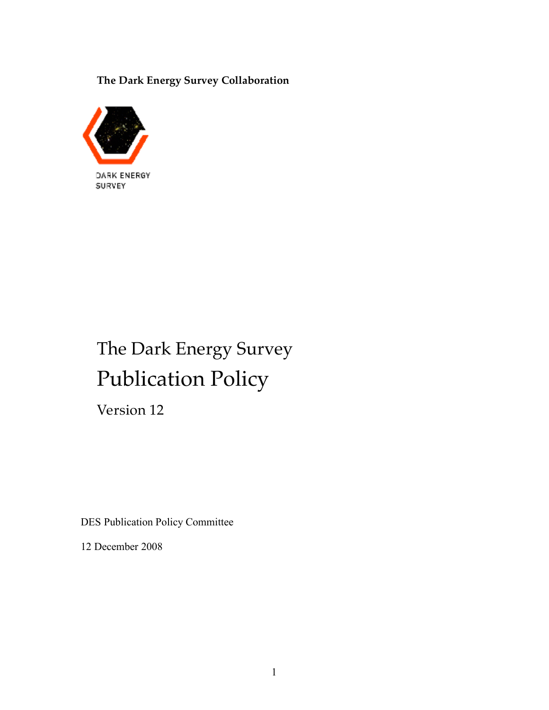**The Dark Energy Survey Collaboration**



# The Dark Energy Survey Publication Policy

Version 12

DES Publication Policy Committee

12 December 2008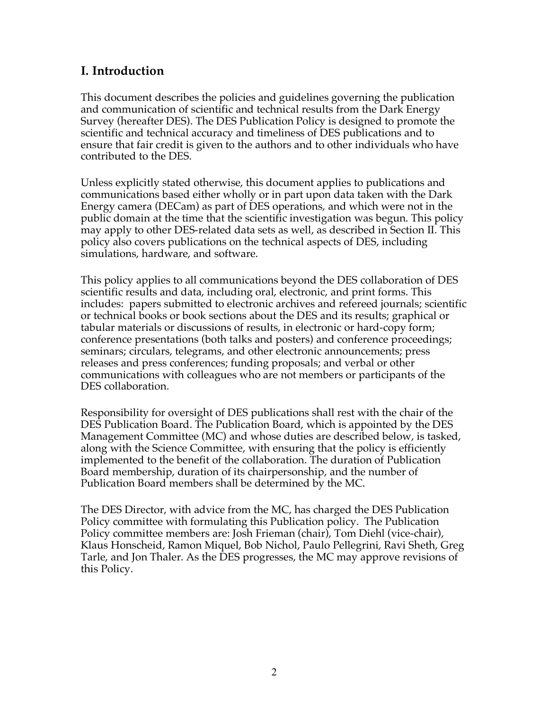# **I. Introduction**

This document describes the policies and guidelines governing the publication and communication of scientific and technical results from the Dark Energy Survey (hereafter DES). The DES Publication Policy is designed to promote the scientific and technical accuracy and timeliness of DES publications and to ensure that fair credit is given to the authors and to other individuals who have contributed to the DES.

Unless explicitly stated otherwise, this document applies to publications and communications based either wholly or in part upon data taken with the Dark Energy camera (DECam) as part of DES operations, and which were not in the public domain at the time that the scientific investigation was begun. This policy may apply to other DES-related data sets as well, as described in Section II. This policy also covers publications on the technical aspects of DES, including simulations, hardware, and software.

This policy applies to all communications beyond the DES collaboration of DES scientific results and data, including oral, electronic, and print forms. This includes: papers submitted to electronic archives and refereed journals; scientific or technical books or book sections about the DES and its results; graphical or tabular materials or discussions of results, in electronic or hard-copy form; conference presentations (both talks and posters) and conference proceedings; seminars; circulars, telegrams, and other electronic announcements; press releases and press conferences; funding proposals; and verbal or other communications with colleagues who are not members or participants of the DES collaboration.

Responsibility for oversight of DES publications shall rest with the chair of the DES Publication Board. The Publication Board, which is appointed by the DES Management Committee (MC) and whose duties are described below, is tasked, along with the Science Committee, with ensuring that the policy is efficiently implemented to the benefit of the collaboration. The duration of Publication Board membership, duration of its chairpersonship, and the number of Publication Board members shall be determined by the MC.

The DES Director, with advice from the MC, has charged the DES Publication Policy committee with formulating this Publication policy. The Publication Policy committee members are: Josh Frieman (chair), Tom Diehl (vice-chair), Klaus Honscheid, Ramon Miquel, Bob Nichol, Paulo Pellegrini, Ravi Sheth, Greg Tarle, and Jon Thaler. As the DES progresses, the MC may approve revisions of this Policy.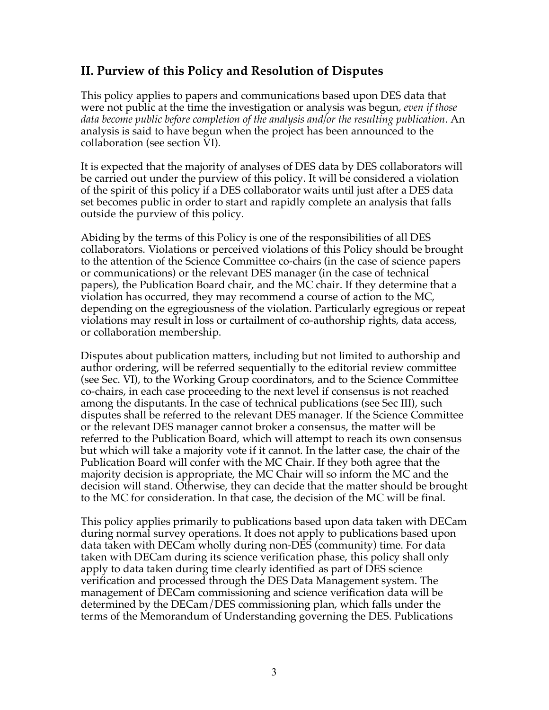## **II. Purview of this Policy and Resolution of Disputes**

This policy applies to papers and communications based upon DES data that were not public at the time the investigation or analysis was begun*, even if those data become public before completion of the analysis and/or the resulting publication*. An analysis is said to have begun when the project has been announced to the collaboration (see section VI).

It is expected that the majority of analyses of DES data by DES collaborators will be carried out under the purview of this policy. It will be considered a violation of the spirit of this policy if a DES collaborator waits until just after a DES data set becomes public in order to start and rapidly complete an analysis that falls outside the purview of this policy.

Abiding by the terms of this Policy is one of the responsibilities of all DES collaborators. Violations or perceived violations of this Policy should be brought to the attention of the Science Committee co-chairs (in the case of science papers or communications) or the relevant DES manager (in the case of technical papers), the Publication Board chair, and the MC chair. If they determine that a violation has occurred, they may recommend a course of action to the MC, depending on the egregiousness of the violation. Particularly egregious or repeat violations may result in loss or curtailment of co-authorship rights, data access, or collaboration membership.

Disputes about publication matters, including but not limited to authorship and author ordering, will be referred sequentially to the editorial review committee (see Sec. VI), to the Working Group coordinators, and to the Science Committee co-chairs, in each case proceeding to the next level if consensus is not reached among the disputants. In the case of technical publications (see Sec III), such disputes shall be referred to the relevant DES manager. If the Science Committee or the relevant DES manager cannot broker a consensus, the matter will be referred to the Publication Board, which will attempt to reach its own consensus but which will take a majority vote if it cannot. In the latter case, the chair of the Publication Board will confer with the MC Chair. If they both agree that the majority decision is appropriate, the MC Chair will so inform the MC and the decision will stand. Otherwise, they can decide that the matter should be brought to the MC for consideration. In that case, the decision of the MC will be final.

This policy applies primarily to publications based upon data taken with DECam during normal survey operations. It does not apply to publications based upon data taken with DECam wholly during non-DES (community) time. For data taken with DECam during its science verification phase, this policy shall only apply to data taken during time clearly identified as part of DES science verification and processed through the DES Data Management system. The management of DECam commissioning and science verification data will be determined by the DECam/DES commissioning plan, which falls under the terms of the Memorandum of Understanding governing the DES. Publications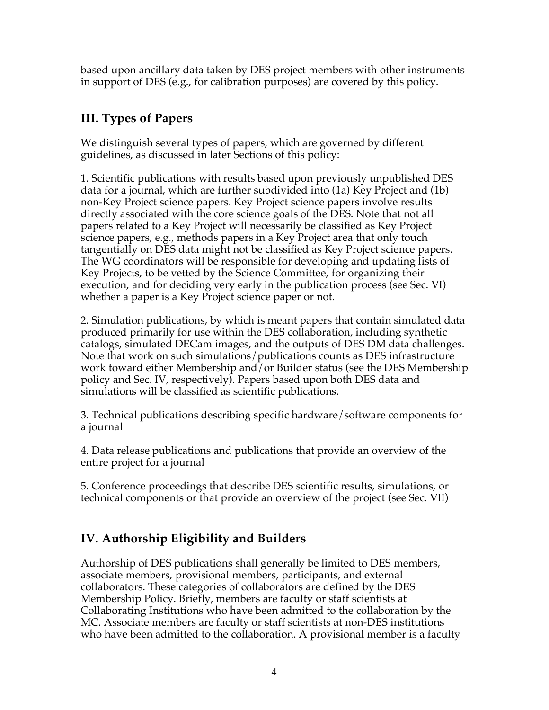based upon ancillary data taken by DES project members with other instruments in support of DES (e.g., for calibration purposes) are covered by this policy.

# **III. Types of Papers**

We distinguish several types of papers, which are governed by different guidelines, as discussed in later Sections of this policy:

1. Scientific publications with results based upon previously unpublished DES data for a journal, which are further subdivided into (1a) Key Project and (1b) non-Key Project science papers. Key Project science papers involve results directly associated with the core science goals of the DES. Note that not all papers related to a Key Project will necessarily be classified as Key Project science papers, e.g., methods papers in a Key Project area that only touch tangentially on DES data might not be classified as Key Project science papers. The WG coordinators will be responsible for developing and updating lists of Key Projects, to be vetted by the Science Committee, for organizing their execution, and for deciding very early in the publication process (see Sec. VI) whether a paper is a Key Project science paper or not.

2. Simulation publications, by which is meant papers that contain simulated data produced primarily for use within the DES collaboration, including synthetic catalogs, simulated DECam images, and the outputs of DES DM data challenges. Note that work on such simulations/publications counts as DES infrastructure work toward either Membership and/or Builder status (see the DES Membership policy and Sec. IV, respectively). Papers based upon both DES data and simulations will be classified as scientific publications.

3. Technical publications describing specific hardware/software components for a journal

4. Data release publications and publications that provide an overview of the entire project for a journal

5. Conference proceedings that describe DES scientific results, simulations, or technical components or that provide an overview of the project (see Sec. VII)

# **IV. Authorship Eligibility and Builders**

Authorship of DES publications shall generally be limited to DES members, associate members, provisional members, participants, and external collaborators. These categories of collaborators are defined by the DES Membership Policy. Briefly, members are faculty or staff scientists at Collaborating Institutions who have been admitted to the collaboration by the MC. Associate members are faculty or staff scientists at non-DES institutions who have been admitted to the collaboration. A provisional member is a faculty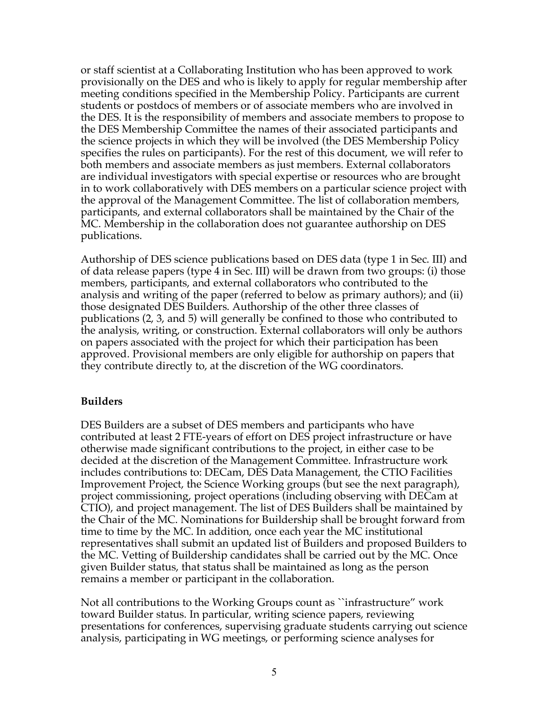or staff scientist at a Collaborating Institution who has been approved to work provisionally on the DES and who is likely to apply for regular membership after meeting conditions specified in the Membership Policy. Participants are current students or postdocs of members or of associate members who are involved in the DES. It is the responsibility of members and associate members to propose to the DES Membership Committee the names of their associated participants and the science projects in which they will be involved (the DES Membership Policy specifies the rules on participants). For the rest of this document, we will refer to both members and associate members as just members. External collaborators are individual investigators with special expertise or resources who are brought in to work collaboratively with DES members on a particular science project with the approval of the Management Committee. The list of collaboration members, participants, and external collaborators shall be maintained by the Chair of the MC. Membership in the collaboration does not guarantee authorship on DES publications.

Authorship of DES science publications based on DES data (type 1 in Sec. III) and of data release papers (type 4 in Sec. III) will be drawn from two groups: (i) those members, participants, and external collaborators who contributed to the analysis and writing of the paper (referred to below as primary authors); and (ii) those designated DES Builders. Authorship of the other three classes of publications (2, 3, and 5) will generally be confined to those who contributed to the analysis, writing, or construction. External collaborators will only be authors on papers associated with the project for which their participation has been approved. Provisional members are only eligible for authorship on papers that they contribute directly to, at the discretion of the WG coordinators.

## **Builders**

DES Builders are a subset of DES members and participants who have contributed at least 2 FTE-years of effort on DES project infrastructure or have otherwise made significant contributions to the project, in either case to be decided at the discretion of the Management Committee. Infrastructure work includes contributions to: DECam, DES Data Management, the CTIO Facilities Improvement Project, the Science Working groups (but see the next paragraph), project commissioning, project operations (including observing with DECam at CTIO), and project management. The list of DES Builders shall be maintained by the Chair of the MC. Nominations for Buildership shall be brought forward from time to time by the MC. In addition, once each year the MC institutional representatives shall submit an updated list of Builders and proposed Builders to the MC. Vetting of Buildership candidates shall be carried out by the MC. Once given Builder status, that status shall be maintained as long as the person remains a member or participant in the collaboration.

Not all contributions to the Working Groups count as ``infrastructure" work toward Builder status. In particular, writing science papers, reviewing presentations for conferences, supervising graduate students carrying out science analysis, participating in WG meetings, or performing science analyses for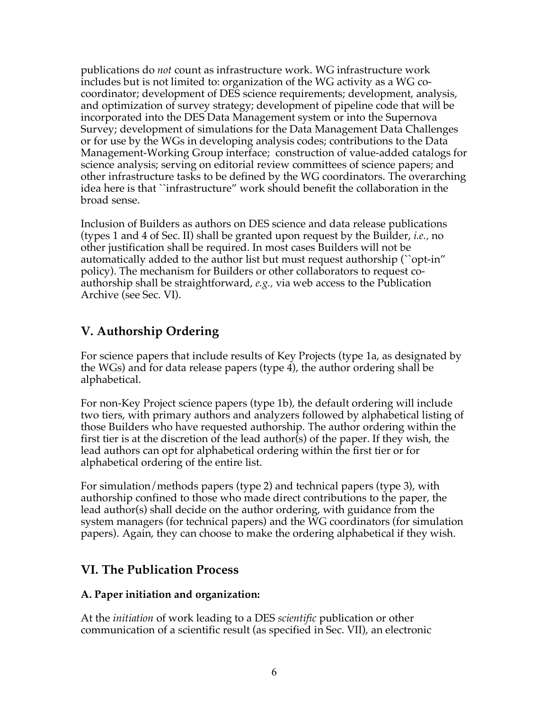publications do *not* count as infrastructure work. WG infrastructure work includes but is not limited to: organization of the WG activity as a WG cocoordinator; development of DES science requirements; development, analysis, and optimization of survey strategy; development of pipeline code that will be incorporated into the DES Data Management system or into the Supernova Survey; development of simulations for the Data Management Data Challenges or for use by the WGs in developing analysis codes; contributions to the Data Management-Working Group interface; construction of value-added catalogs for science analysis; serving on editorial review committees of science papers; and other infrastructure tasks to be defined by the WG coordinators. The overarching idea here is that ``infrastructure" work should benefit the collaboration in the broad sense.

Inclusion of Builders as authors on DES science and data release publications (types 1 and 4 of Sec. II) shall be granted upon request by the Builder, *i.e.,* no other justification shall be required. In most cases Builders will not be automatically added to the author list but must request authorship (``opt-in" policy). The mechanism for Builders or other collaborators to request coauthorship shall be straightforward, *e.g.,* via web access to the Publication Archive (see Sec. VI).

# **V. Authorship Ordering**

For science papers that include results of Key Projects (type 1a, as designated by the WGs) and for data release papers (type 4), the author ordering shall be alphabetical.

For non-Key Project science papers (type 1b), the default ordering will include two tiers, with primary authors and analyzers followed by alphabetical listing of those Builders who have requested authorship. The author ordering within the first tier is at the discretion of the lead author(s) of the paper. If they wish, the lead authors can opt for alphabetical ordering within the first tier or for alphabetical ordering of the entire list.

For simulation/methods papers (type 2) and technical papers (type 3), with authorship confined to those who made direct contributions to the paper, the lead author(s) shall decide on the author ordering, with guidance from the system managers (for technical papers) and the WG coordinators (for simulation papers). Again, they can choose to make the ordering alphabetical if they wish.

# **VI. The Publication Process**

## **A. Paper initiation and organization:**

At the *initiation* of work leading to a DES *scientific* publication or other communication of a scientific result (as specified in Sec. VII), an electronic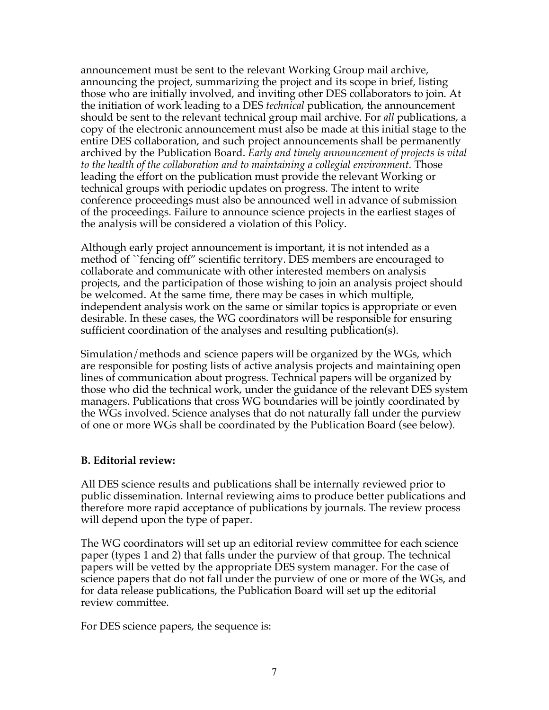announcement must be sent to the relevant Working Group mail archive, announcing the project, summarizing the project and its scope in brief, listing those who are initially involved, and inviting other DES collaborators to join. At the initiation of work leading to a DES *technical* publication, the announcement should be sent to the relevant technical group mail archive. For *all* publications, a copy of the electronic announcement must also be made at this initial stage to the entire DES collaboration, and such project announcements shall be permanently archived by the Publication Board. *Early and timely announcement of projects is vital to the health of the collaboration and to maintaining a collegial environment.* Those leading the effort on the publication must provide the relevant Working or technical groups with periodic updates on progress. The intent to write conference proceedings must also be announced well in advance of submission of the proceedings. Failure to announce science projects in the earliest stages of the analysis will be considered a violation of this Policy.

Although early project announcement is important, it is not intended as a method of ``fencing off" scientific territory. DES members are encouraged to collaborate and communicate with other interested members on analysis projects, and the participation of those wishing to join an analysis project should be welcomed. At the same time, there may be cases in which multiple, independent analysis work on the same or similar topics is appropriate or even desirable. In these cases, the WG coordinators will be responsible for ensuring sufficient coordination of the analyses and resulting publication(s).

Simulation/methods and science papers will be organized by the WGs, which are responsible for posting lists of active analysis projects and maintaining open lines of communication about progress. Technical papers will be organized by those who did the technical work, under the guidance of the relevant DES system managers. Publications that cross WG boundaries will be jointly coordinated by the WGs involved. Science analyses that do not naturally fall under the purview of one or more WGs shall be coordinated by the Publication Board (see below).

## **B. Editorial review:**

All DES science results and publications shall be internally reviewed prior to public dissemination. Internal reviewing aims to produce better publications and therefore more rapid acceptance of publications by journals. The review process will depend upon the type of paper.

The WG coordinators will set up an editorial review committee for each science paper (types 1 and 2) that falls under the purview of that group. The technical papers will be vetted by the appropriate DES system manager. For the case of science papers that do not fall under the purview of one or more of the WGs, and for data release publications, the Publication Board will set up the editorial review committee.

For DES science papers, the sequence is: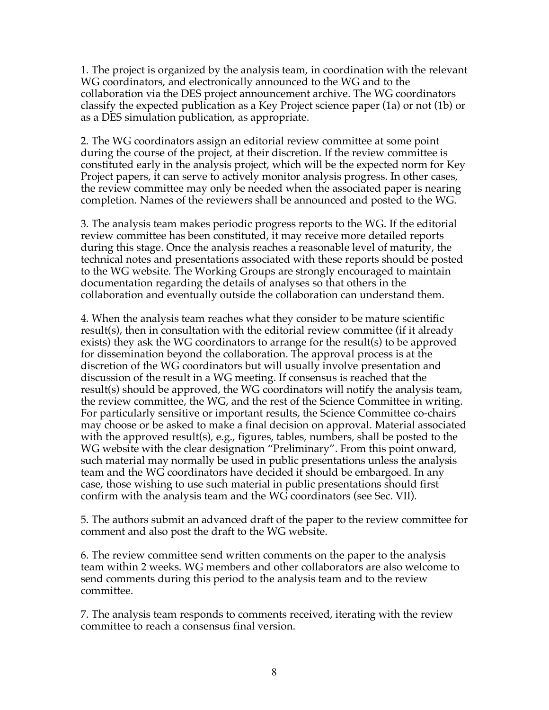1. The project is organized by the analysis team, in coordination with the relevant WG coordinators, and electronically announced to the WG and to the collaboration via the DES project announcement archive. The WG coordinators classify the expected publication as a Key Project science paper (1a) or not (1b) or as a DES simulation publication, as appropriate.

2. The WG coordinators assign an editorial review committee at some point during the course of the project, at their discretion. If the review committee is constituted early in the analysis project, which will be the expected norm for Key Project papers, it can serve to actively monitor analysis progress. In other cases, the review committee may only be needed when the associated paper is nearing completion. Names of the reviewers shall be announced and posted to the WG.

3. The analysis team makes periodic progress reports to the WG. If the editorial review committee has been constituted, it may receive more detailed reports during this stage. Once the analysis reaches a reasonable level of maturity, the technical notes and presentations associated with these reports should be posted to the WG website. The Working Groups are strongly encouraged to maintain documentation regarding the details of analyses so that others in the collaboration and eventually outside the collaboration can understand them.

4. When the analysis team reaches what they consider to be mature scientific result(s), then in consultation with the editorial review committee (if it already exists) they ask the WG coordinators to arrange for the result(s) to be approved for dissemination beyond the collaboration. The approval process is at the discretion of the WG coordinators but will usually involve presentation and discussion of the result in a WG meeting. If consensus is reached that the result(s) should be approved, the WG coordinators will notify the analysis team, the review committee, the WG, and the rest of the Science Committee in writing. For particularly sensitive or important results, the Science Committee co-chairs may choose or be asked to make a final decision on approval. Material associated with the approved result(s), e.g., figures, tables, numbers, shall be posted to the WG website with the clear designation "Preliminary". From this point onward, such material may normally be used in public presentations unless the analysis team and the WG coordinators have decided it should be embargoed. In any case, those wishing to use such material in public presentations should first confirm with the analysis team and the WG coordinators (see Sec. VII).

5. The authors submit an advanced draft of the paper to the review committee for comment and also post the draft to the WG website.

6. The review committee send written comments on the paper to the analysis team within 2 weeks. WG members and other collaborators are also welcome to send comments during this period to the analysis team and to the review committee.

7. The analysis team responds to comments received, iterating with the review committee to reach a consensus final version.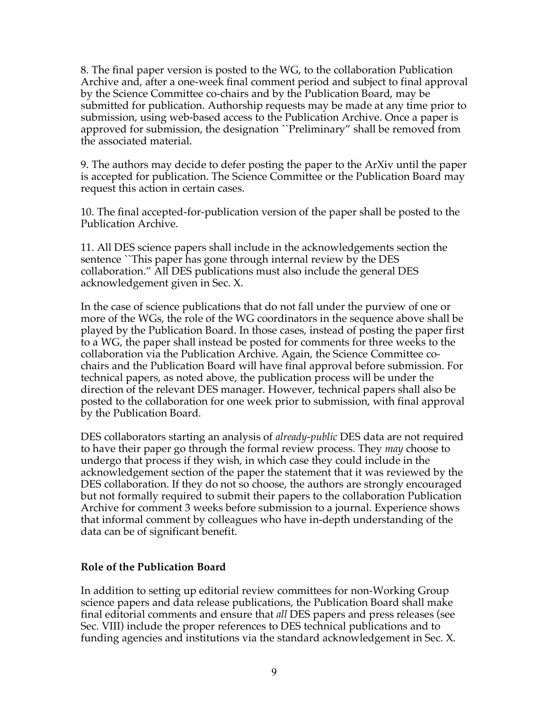8. The final paper version is posted to the WG, to the collaboration Publication Archive and, after a one-week final comment period and subject to final approval by the Science Committee co-chairs and by the Publication Board, may be submitted for publication. Authorship requests may be made at any time prior to submission, using web-based access to the Publication Archive. Once a paper is approved for submission, the designation ``Preliminary" shall be removed from the associated material.

9. The authors may decide to defer posting the paper to the ArXiv until the paper is accepted for publication. The Science Committee or the Publication Board may request this action in certain cases.

10. The final accepted-for-publication version of the paper shall be posted to the Publication Archive.

11. All DES science papers shall include in the acknowledgements section the sentence ``This paper has gone through internal review by the DES collaboration." All DES publications must also include the general DES acknowledgement given in Sec. X.

In the case of science publications that do not fall under the purview of one or more of the WGs, the role of the WG coordinators in the sequence above shall be played by the Publication Board. In those cases, instead of posting the paper first to a WG, the paper shall instead be posted for comments for three weeks to the collaboration via the Publication Archive. Again, the Science Committee cochairs and the Publication Board will have final approval before submission. For technical papers, as noted above, the publication process will be under the direction of the relevant DES manager. However, technical papers shall also be posted to the collaboration for one week prior to submission, with final approval by the Publication Board.

DES collaborators starting an analysis of *already-public* DES data are not required to have their paper go through the formal review process. They *may* choose to undergo that process if they wish, in which case they could include in the acknowledgement section of the paper the statement that it was reviewed by the DES collaboration. If they do not so choose, the authors are strongly encouraged but not formally required to submit their papers to the collaboration Publication Archive for comment 3 weeks before submission to a journal. Experience shows that informal comment by colleagues who have in-depth understanding of the data can be of significant benefit.

#### **Role of the Publication Board**

In addition to setting up editorial review committees for non-Working Group science papers and data release publications, the Publication Board shall make final editorial comments and ensure that *all* DES papers and press releases (see Sec. VIII) include the proper references to DES technical publications and to funding agencies and institutions via the standard acknowledgement in Sec. X.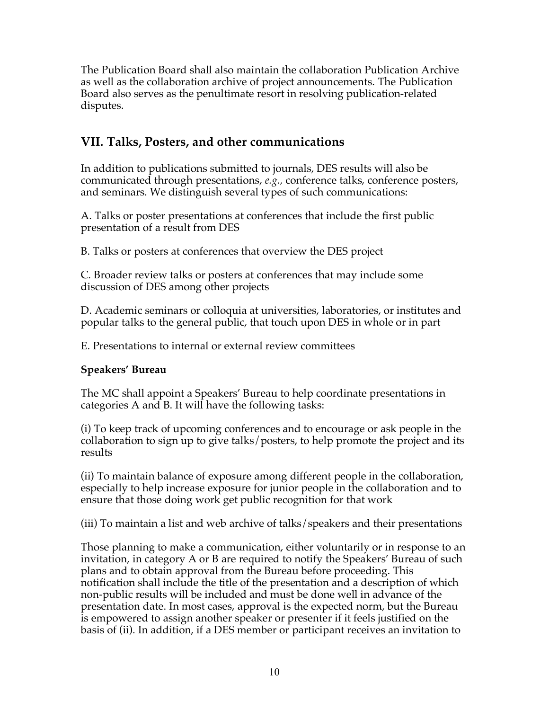The Publication Board shall also maintain the collaboration Publication Archive as well as the collaboration archive of project announcements. The Publication Board also serves as the penultimate resort in resolving publication-related disputes.

## **VII. Talks, Posters, and other communications**

In addition to publications submitted to journals, DES results will also be communicated through presentations, *e.g.,* conference talks, conference posters, and seminars. We distinguish several types of such communications:

A. Talks or poster presentations at conferences that include the first public presentation of a result from DES

B. Talks or posters at conferences that overview the DES project

C. Broader review talks or posters at conferences that may include some discussion of DES among other projects

D. Academic seminars or colloquia at universities, laboratories, or institutes and popular talks to the general public, that touch upon DES in whole or in part

E. Presentations to internal or external review committees

## **Speakers' Bureau**

The MC shall appoint a Speakers' Bureau to help coordinate presentations in categories A and B. It will have the following tasks:

(i) To keep track of upcoming conferences and to encourage or ask people in the collaboration to sign up to give talks/posters, to help promote the project and its results

(ii) To maintain balance of exposure among different people in the collaboration, especially to help increase exposure for junior people in the collaboration and to ensure that those doing work get public recognition for that work

(iii) To maintain a list and web archive of talks/speakers and their presentations

Those planning to make a communication, either voluntarily or in response to an invitation, in category A or B are required to notify the Speakers' Bureau of such plans and to obtain approval from the Bureau before proceeding. This notification shall include the title of the presentation and a description of which non-public results will be included and must be done well in advance of the presentation date. In most cases, approval is the expected norm, but the Bureau is empowered to assign another speaker or presenter if it feels justified on the basis of (ii). In addition, if a DES member or participant receives an invitation to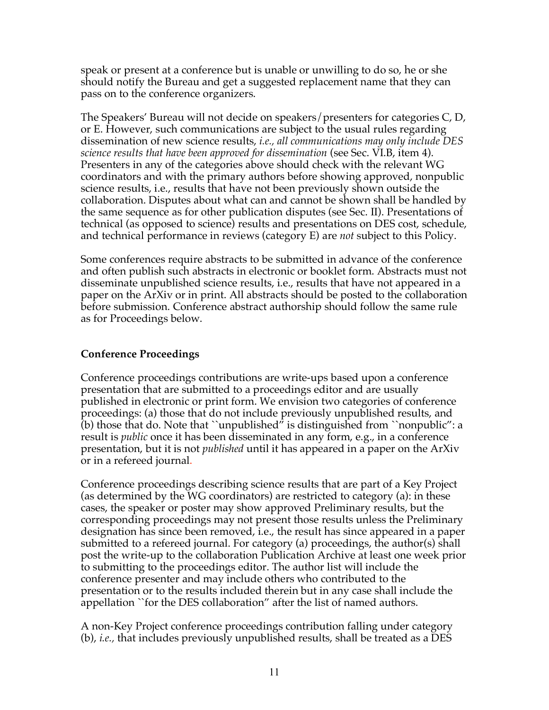speak or present at a conference but is unable or unwilling to do so, he or she should notify the Bureau and get a suggested replacement name that they can pass on to the conference organizers.

The Speakers' Bureau will not decide on speakers/presenters for categories C, D, or E. However, such communications are subject to the usual rules regarding dissemination of new science results, *i.e., all communications may only include DES science results that have been approved for dissemination* (see Sec. VI.B, item 4). Presenters in any of the categories above should check with the relevant WG coordinators and with the primary authors before showing approved, nonpublic science results, i.e., results that have not been previously shown outside the collaboration. Disputes about what can and cannot be shown shall be handled by the same sequence as for other publication disputes (see Sec. II). Presentations of technical (as opposed to science) results and presentations on DES cost, schedule, and technical performance in reviews (category E) are *not* subject to this Policy.

Some conferences require abstracts to be submitted in advance of the conference and often publish such abstracts in electronic or booklet form. Abstracts must not disseminate unpublished science results, i.e., results that have not appeared in a paper on the ArXiv or in print. All abstracts should be posted to the collaboration before submission. Conference abstract authorship should follow the same rule as for Proceedings below.

## **Conference Proceedings**

Conference proceedings contributions are write-ups based upon a conference presentation that are submitted to a proceedings editor and are usually published in electronic or print form. We envision two categories of conference proceedings: (a) those that do not include previously unpublished results, and (b) those that do. Note that ``unpublished" is distinguished from ``nonpublic": a result is *public* once it has been disseminated in any form, e.g., in a conference presentation, but it is not *published* until it has appeared in a paper on the ArXiv or in a refereed journal.

Conference proceedings describing science results that are part of a Key Project (as determined by the WG coordinators) are restricted to category (a): in these cases, the speaker or poster may show approved Preliminary results, but the corresponding proceedings may not present those results unless the Preliminary designation has since been removed, i.e., the result has since appeared in a paper submitted to a refereed journal. For category (a) proceedings, the author(s) shall post the write-up to the collaboration Publication Archive at least one week prior to submitting to the proceedings editor. The author list will include the conference presenter and may include others who contributed to the presentation or to the results included therein but in any case shall include the appellation ``for the DES collaboration" after the list of named authors.

A non-Key Project conference proceedings contribution falling under category (b), *i.e.,* that includes previously unpublished results, shall be treated as a DES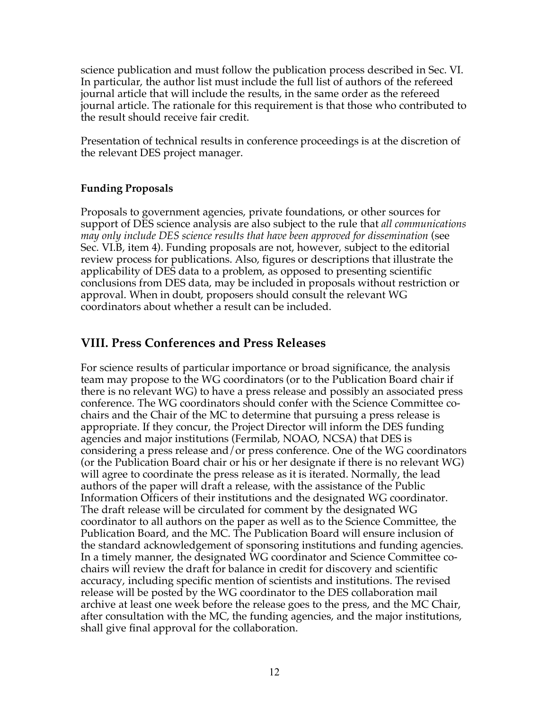science publication and must follow the publication process described in Sec. VI. In particular, the author list must include the full list of authors of the refereed journal article that will include the results, in the same order as the refereed journal article. The rationale for this requirement is that those who contributed to the result should receive fair credit.

Presentation of technical results in conference proceedings is at the discretion of the relevant DES project manager.

## **Funding Proposals**

Proposals to government agencies, private foundations, or other sources for support of DES science analysis are also subject to the rule that *all communications may only include DES science results that have been approved for dissemination* (see Sec. VI.B, item 4). Funding proposals are not, however, subject to the editorial review process for publications. Also, figures or descriptions that illustrate the applicability of DES data to a problem, as opposed to presenting scientific conclusions from DES data, may be included in proposals without restriction or approval. When in doubt, proposers should consult the relevant WG coordinators about whether a result can be included.

## **VIII. Press Conferences and Press Releases**

For science results of particular importance or broad significance, the analysis team may propose to the WG coordinators (or to the Publication Board chair if there is no relevant WG) to have a press release and possibly an associated press conference. The WG coordinators should confer with the Science Committee cochairs and the Chair of the MC to determine that pursuing a press release is appropriate. If they concur, the Project Director will inform the DES funding agencies and major institutions (Fermilab, NOAO, NCSA) that DES is considering a press release and/or press conference. One of the WG coordinators (or the Publication Board chair or his or her designate if there is no relevant WG) will agree to coordinate the press release as it is iterated. Normally, the lead authors of the paper will draft a release, with the assistance of the Public Information Officers of their institutions and the designated WG coordinator. The draft release will be circulated for comment by the designated WG coordinator to all authors on the paper as well as to the Science Committee, the Publication Board, and the MC. The Publication Board will ensure inclusion of the standard acknowledgement of sponsoring institutions and funding agencies. In a timely manner, the designated WG coordinator and Science Committee cochairs will review the draft for balance in credit for discovery and scientific accuracy, including specific mention of scientists and institutions. The revised release will be posted by the WG coordinator to the DES collaboration mail archive at least one week before the release goes to the press, and the MC Chair, after consultation with the MC, the funding agencies, and the major institutions, shall give final approval for the collaboration.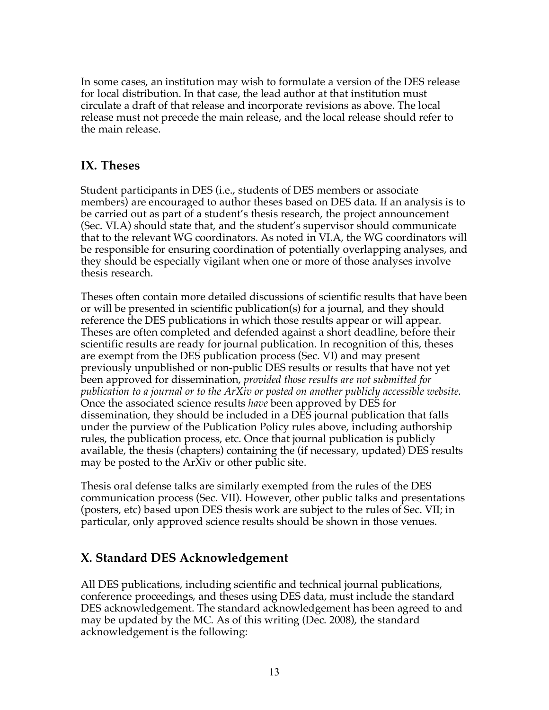In some cases, an institution may wish to formulate a version of the DES release for local distribution. In that case, the lead author at that institution must circulate a draft of that release and incorporate revisions as above. The local release must not precede the main release, and the local release should refer to the main release.

## **IX. Theses**

Student participants in DES (i.e., students of DES members or associate members) are encouraged to author theses based on DES data. If an analysis is to be carried out as part of a student's thesis research, the project announcement (Sec. VI.A) should state that, and the student's supervisor should communicate that to the relevant WG coordinators. As noted in VI.A, the WG coordinators will be responsible for ensuring coordination of potentially overlapping analyses, and they should be especially vigilant when one or more of those analyses involve thesis research.

Theses often contain more detailed discussions of scientific results that have been or will be presented in scientific publication(s) for a journal, and they should reference the DES publications in which those results appear or will appear. Theses are often completed and defended against a short deadline, before their scientific results are ready for journal publication. In recognition of this, theses are exempt from the DES publication process (Sec. VI) and may present previously unpublished or non-public DES results or results that have not yet been approved for dissemination, *provided those results are not submitted for publication to a journal or to the ArXiv or posted on another publicly accessible website.* Once the associated science results *have* been approved by DES for dissemination, they should be included in a DES journal publication that falls under the purview of the Publication Policy rules above, including authorship rules, the publication process, etc. Once that journal publication is publicly available, the thesis (chapters) containing the (if necessary, updated) DES results may be posted to the ArXiv or other public site.

Thesis oral defense talks are similarly exempted from the rules of the DES communication process (Sec. VII). However, other public talks and presentations (posters, etc) based upon DES thesis work are subject to the rules of Sec. VII; in particular, only approved science results should be shown in those venues.

## **X. Standard DES Acknowledgement**

All DES publications, including scientific and technical journal publications, conference proceedings, and theses using DES data, must include the standard DES acknowledgement. The standard acknowledgement has been agreed to and may be updated by the MC. As of this writing (Dec. 2008), the standard acknowledgement is the following: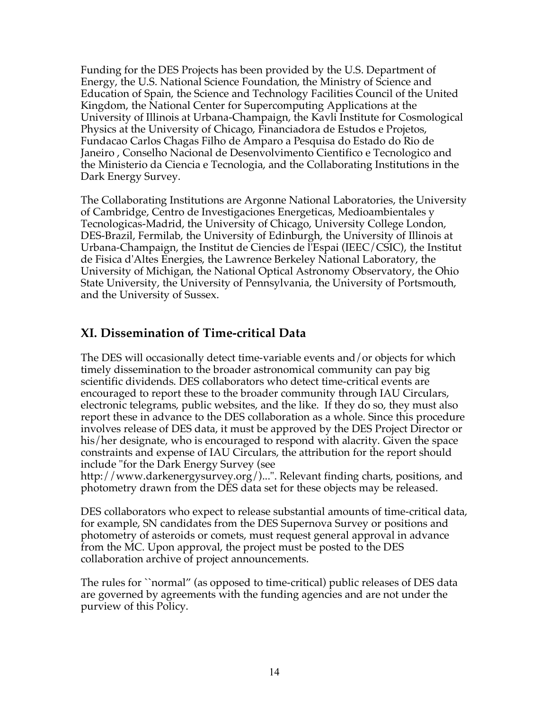Funding for the DES Projects has been provided by the U.S. Department of Energy, the U.S. National Science Foundation, the Ministry of Science and Education of Spain, the Science and Technology Facilities Council of the United Kingdom, the National Center for Supercomputing Applications at the University of Illinois at Urbana-Champaign, the Kavli Institute for Cosmological Physics at the University of Chicago, Financiadora de Estudos e Projetos, Fundacao Carlos Chagas Filho de Amparo a Pesquisa do Estado do Rio de Janeiro , Conselho Nacional de Desenvolvimento Cientifico e Tecnologico and the Ministerio da Ciencia e Tecnologia, and the Collaborating Institutions in the Dark Energy Survey.

The Collaborating Institutions are Argonne National Laboratories, the University of Cambridge, Centro de Investigaciones Energeticas, Medioambientales y Tecnologicas-Madrid, the University of Chicago, University College London, DES-Brazil, Fermilab, the University of Edinburgh, the University of Illinois at Urbana-Champaign, the Institut de Ciencies de l'Espai (IEEC/CSIC), the Institut de Fisica d'Altes Energies, the Lawrence Berkeley National Laboratory, the University of Michigan, the National Optical Astronomy Observatory, the Ohio State University, the University of Pennsylvania, the University of Portsmouth, and the University of Sussex.

## **XI. Dissemination of Time-critical Data**

The DES will occasionally detect time-variable events and/or objects for which timely dissemination to the broader astronomical community can pay big scientific dividends. DES collaborators who detect time-critical events are encouraged to report these to the broader community through IAU Circulars, electronic telegrams, public websites, and the like. If they do so, they must also report these in advance to the DES collaboration as a whole. Since this procedure involves release of DES data, it must be approved by the DES Project Director or his/her designate, who is encouraged to respond with alacrity. Given the space constraints and expense of IAU Circulars, the attribution for the report should include "for the Dark Energy Survey (see

http://www.darkenergysurvey.org/)...". Relevant finding charts, positions, and photometry drawn from the DES data set for these objects may be released.

DES collaborators who expect to release substantial amounts of time-critical data, for example, SN candidates from the DES Supernova Survey or positions and photometry of asteroids or comets, must request general approval in advance from the MC. Upon approval, the project must be posted to the DES collaboration archive of project announcements.

The rules for ``normal" (as opposed to time-critical) public releases of DES data are governed by agreements with the funding agencies and are not under the purview of this Policy.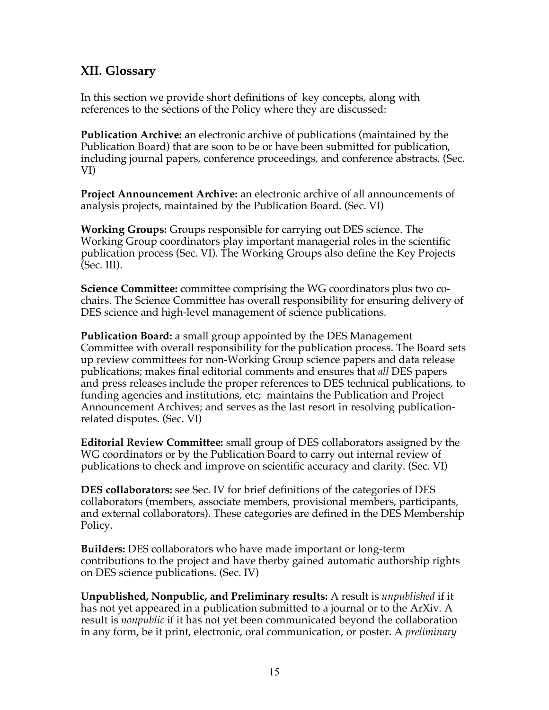# **XII. Glossary**

In this section we provide short definitions of key concepts, along with references to the sections of the Policy where they are discussed:

**Publication Archive:** an electronic archive of publications (maintained by the Publication Board) that are soon to be or have been submitted for publication, including journal papers, conference proceedings, and conference abstracts. (Sec. VI)

**Project Announcement Archive:** an electronic archive of all announcements of analysis projects, maintained by the Publication Board. (Sec. VI)

**Working Groups:** Groups responsible for carrying out DES science. The Working Group coordinators play important managerial roles in the scientific publication process (Sec. VI). The Working Groups also define the Key Projects  $(Sec. III).$ 

**Science Committee:** committee comprising the WG coordinators plus two cochairs. The Science Committee has overall responsibility for ensuring delivery of DES science and high-level management of science publications.

**Publication Board:** a small group appointed by the DES Management Committee with overall responsibility for the publication process. The Board sets up review committees for non-Working Group science papers and data release publications; makes final editorial comments and ensures that *all* DES papers and press releases include the proper references to DES technical publications, to funding agencies and institutions, etc; maintains the Publication and Project Announcement Archives; and serves as the last resort in resolving publicationrelated disputes. (Sec. VI)

**Editorial Review Committee:** small group of DES collaborators assigned by the WG coordinators or by the Publication Board to carry out internal review of publications to check and improve on scientific accuracy and clarity. (Sec. VI)

**DES collaborators:** see Sec. IV for brief definitions of the categories of DES collaborators (members, associate members, provisional members, participants, and external collaborators). These categories are defined in the DES Membership Policy.

**Builders:** DES collaborators who have made important or long-term contributions to the project and have therby gained automatic authorship rights on DES science publications. (Sec. IV)

**Unpublished, Nonpublic, and Preliminary results:** A result is *unpublished* if it has not yet appeared in a publication submitted to a journal or to the ArXiv. A result is *nonpublic* if it has not yet been communicated beyond the collaboration in any form, be it print, electronic, oral communication, or poster. A *preliminary*